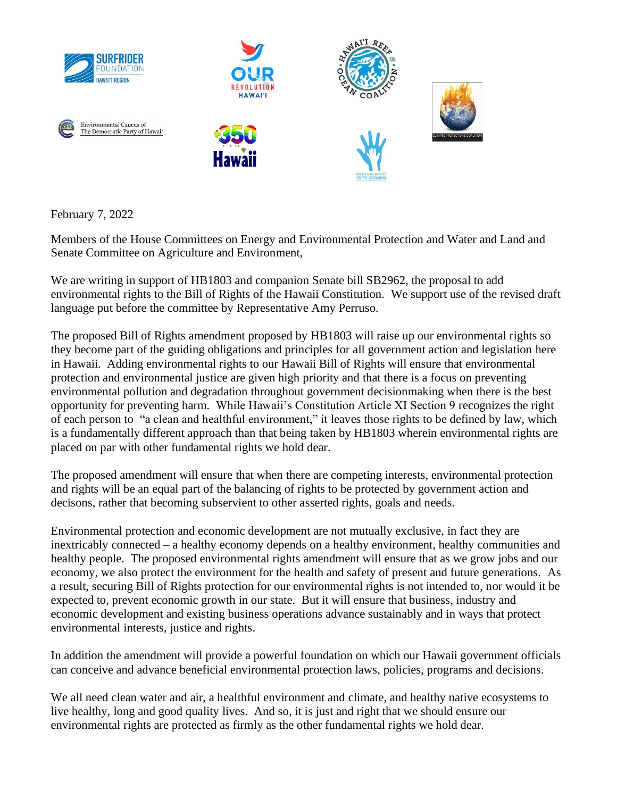

February 7, 2022

Members of the House Committees on Energy and Environmental Protection and Water and Land and Senate Committee on Agriculture and Environment,

We are writing in support of HB1803 and companion Senate bill SB2962, the proposal to add environmental rights to the Bill of Rights of the Hawaii Constitution. We support use of the revised draft language put before the committee by Representative Amy Perruso.

The proposed Bill of Rights amendment proposed by HB1803 will raise up our environmental rights so they become part of the guiding obligations and principles for all government action and legislation here in Hawaii. Adding environmental rights to our Hawaii Bill of Rights will ensure that environmental protection and environmental justice are given high priority and that there is a focus on preventing environmental pollution and degradation throughout government decisionmaking when there is the best opportunity for preventing harm. While Hawaii's Constitution Article XI Section 9 recognizes the right of each person to "a clean and healthful environment," it leaves those rights to be defined by law, which is a fundamentally different approach than that being taken by HB1803 wherein environmental rights are placed on par with other fundamental rights we hold dear.

The proposed amendment will ensure that when there are competing interests, environmental protection and rights will be an equal part of the balancing of rights to be protected by government action and decisons, rather that becoming subservient to other asserted rights, goals and needs.

Environmental protection and economic development are not mutually exclusive, in fact they are inextricably connected – a healthy economy depends on a healthy environment, healthy communities and healthy people. The proposed environmental rights amendment will ensure that as we grow jobs and our economy, we also protect the environment for the health and safety of present and future generations. As a result, securing Bill of Rights protection for our environmental rights is not intended to, nor would it be expected to, prevent economic growth in our state. But it will ensure that business, industry and economic development and existing business operations advance sustainably and in ways that protect environmental interests, justice and rights.

In addition the amendment will provide a powerful foundation on which our Hawaii government officials can conceive and advance beneficial environmental protection laws, policies, programs and decisions.

We all need clean water and air, a healthful environment and climate, and healthy native ecosystems to live healthy, long and good quality lives. And so, it is just and right that we should ensure our environmental rights are protected as firmly as the other fundamental rights we hold dear.